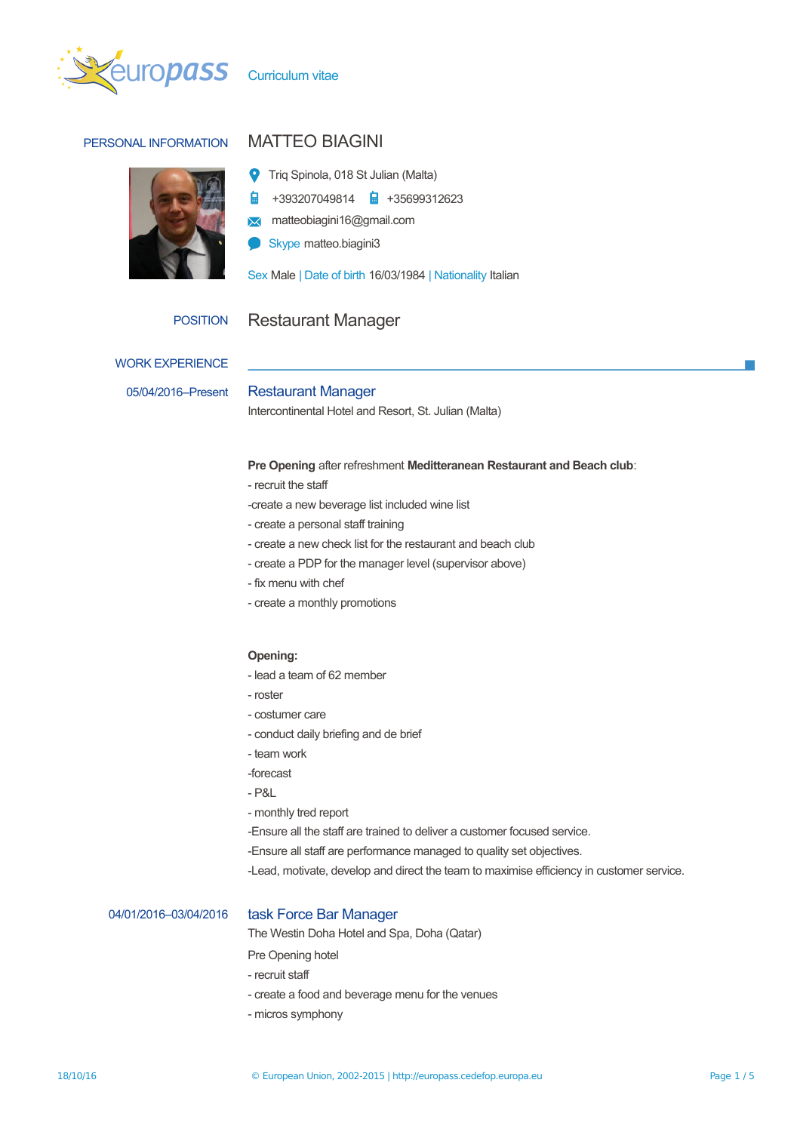

# PERSONAL INFORMATION MATTEO BIAGINI



- Triq Spinola, 018 St Julian (Malta)
- 自 +393207049814 +35699312623
- **M** matteobiagini16@gmail.com
- Skype matteo.biagini3

Sex Male | Date of birth 16/03/1984 | Nationality Italian

## POSITION Restaurant Manager

WORK EXPERIENCE

# 05/04/2016–Present Restaurant Manager

Intercontinental Hotel and Resort, St. Julian (Malta)

### **Pre Opening** after refreshment **Meditteranean Restaurant and Beach club**:

- recruit the staff
- -create a new beverage list included wine list
- create a personal staff training
- create a new check list for the restaurant and beach club
- create a PDP for the manager level (supervisor above)
- fix menu with chef
- create a monthly promotions

### **Opening:**

- lead a team of 62 member
- roster
- costumer care
- conduct daily briefing and de brief
- team work
- -forecast
- P&L
- monthly tred report
- -Ensure all the staff are trained to deliver a customer focused service.
- -Ensure all staff are performance managed to quality set objectives.
- -Lead, motivate, develop and direct the team to maximise efficiency in customer service.

### 04/01/2016–03/04/2016 task Force Bar Manager

The Westin Doha Hotel and Spa, Doha (Qatar)

Pre Opening hotel

- recruit staff
- create a food and beverage menu for the venues
- micros symphony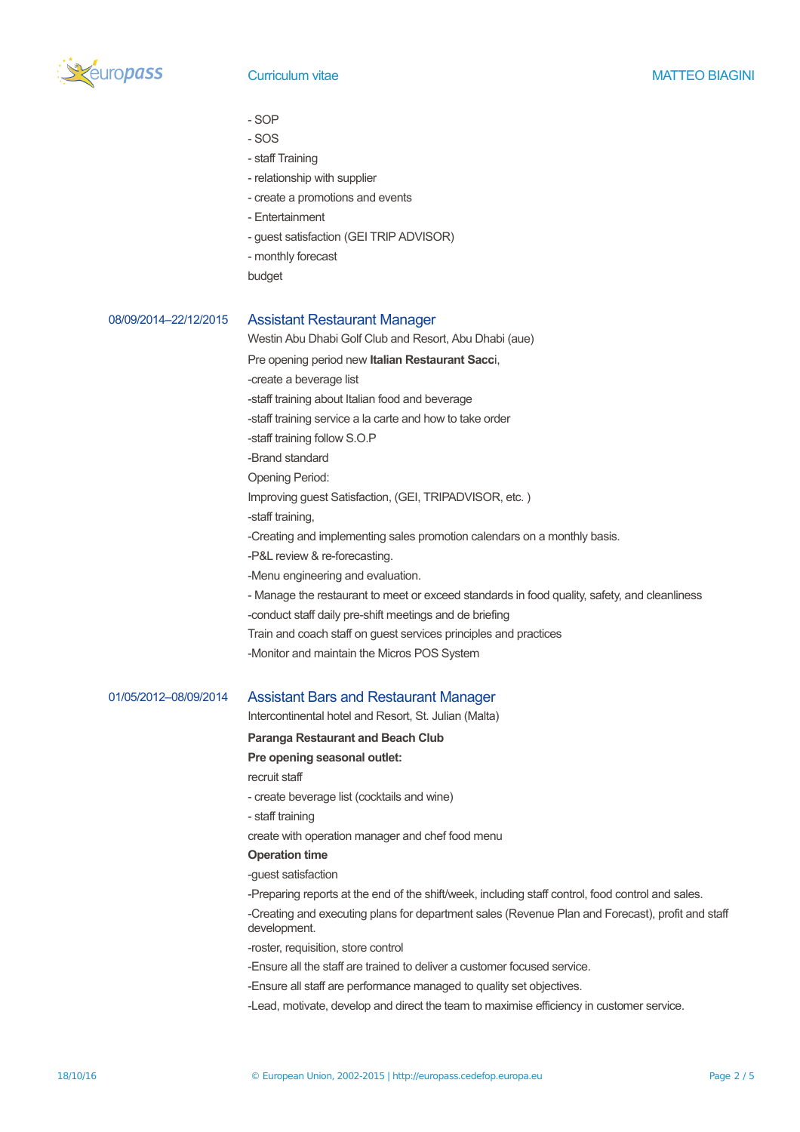

- SOP
- SOS
- staff Training
- relationship with supplier
- create a promotions and events
- Entertainment
- guest satisfaction (GEI TRIP ADVISOR)
- monthly forecast
- budget

## 08/09/2014–22/12/2015 Assistant Restaurant Manager

Westin Abu Dhabi Golf Club and Resort, Abu Dhabi (aue)

Pre opening period new **Italian Restaurant Sacc**i,

-create a beverage list

-staff training about Italian food and beverage

-staff training service a la carte and how to take order

-staff training follow S.O.P

-Brand standard

Opening Period:

Improving guest Satisfaction, (GEI, TRIPADVISOR, etc. )

-staff training,

-Creating and implementing sales promotion calendars on a monthly basis.

-P&L review & re-forecasting.

-Menu engineering and evaluation.

- Manage the restaurant to meet or exceed standards in food quality, safety, and cleanliness

-conduct staff daily pre-shift meetings and de briefing

- Train and coach staff on guest services principles and practices
- -Monitor and maintain the Micros POS System

### 01/05/2012–08/09/2014 Assistant Bars and Restaurant Manager

Intercontinental hotel and Resort, St. Julian (Malta)

**Paranga Restaurant and Beach Club**

### **Pre opening seasonal outlet:**

recruit staff

- create beverage list (cocktails and wine)
- staff training

create with operation manager and chef food menu

### **Operation time**

-guest satisfaction

-Preparing reports at the end of the shift/week, including staff control, food control and sales.

-Creating and executing plans for department sales (Revenue Plan and Forecast), profit and staff development.

- -roster, requisition, store control
- -Ensure all the staff are trained to deliver a customer focused service.
- -Ensure all staff are performance managed to quality set objectives.
- -Lead, motivate, develop and direct the team to maximise efficiency in customer service.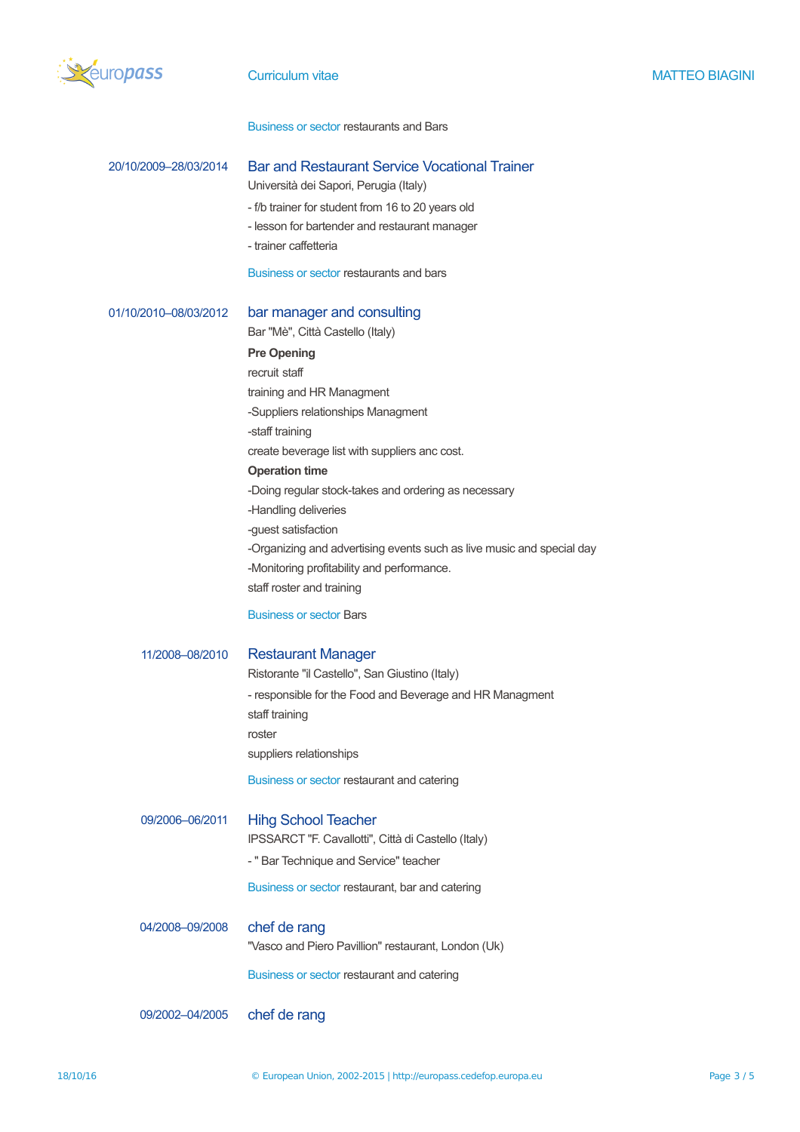

Business or sector restaurants and Bars

| 20/10/2009-28/03/2014              | <b>Bar and Restaurant Service Vocational Trainer</b><br>Università dei Sapori, Perugia (Italy)<br>- f/b trainer for student from 16 to 20 years old<br>- lesson for bartender and restaurant manager<br>- trainer caffetteria<br>Business or sector restaurants and bars                                                                                                                                                                                                                                                                                           |
|------------------------------------|--------------------------------------------------------------------------------------------------------------------------------------------------------------------------------------------------------------------------------------------------------------------------------------------------------------------------------------------------------------------------------------------------------------------------------------------------------------------------------------------------------------------------------------------------------------------|
| 01/10/2010-08/03/2012              | bar manager and consulting<br>Bar "Mè", Città Castello (Italy)<br><b>Pre Opening</b><br>recruit staff<br>training and HR Managment<br>-Suppliers relationships Managment<br>-staff training<br>create beverage list with suppliers anc cost.<br><b>Operation time</b><br>-Doing regular stock-takes and ordering as necessary<br>-Handling deliveries<br>-guest satisfaction<br>-Organizing and advertising events such as live music and special day<br>-Monitoring profitability and performance.<br>staff roster and training<br><b>Business or sector Bars</b> |
| 11/2008-08/2010<br>09/2006-06/2011 | <b>Restaurant Manager</b><br>Ristorante "il Castello", San Giustino (Italy)<br>- responsible for the Food and Beverage and HR Managment<br>staff training<br>roster<br>suppliers relationships<br>Business or sector restaurant and catering<br><b>Hihg School Teacher</b>                                                                                                                                                                                                                                                                                         |
|                                    | IPSSARCT "F. Cavallotti", Città di Castello (Italy)<br>- " Bar Technique and Service" teacher<br>Business or sector restaurant, bar and catering                                                                                                                                                                                                                                                                                                                                                                                                                   |
| 04/2008-09/2008                    | chef de rang<br>"Vasco and Piero Pavillion" restaurant, London (Uk)<br>Business or sector restaurant and catering                                                                                                                                                                                                                                                                                                                                                                                                                                                  |
| 09/2002-04/2005                    | chef de rang                                                                                                                                                                                                                                                                                                                                                                                                                                                                                                                                                       |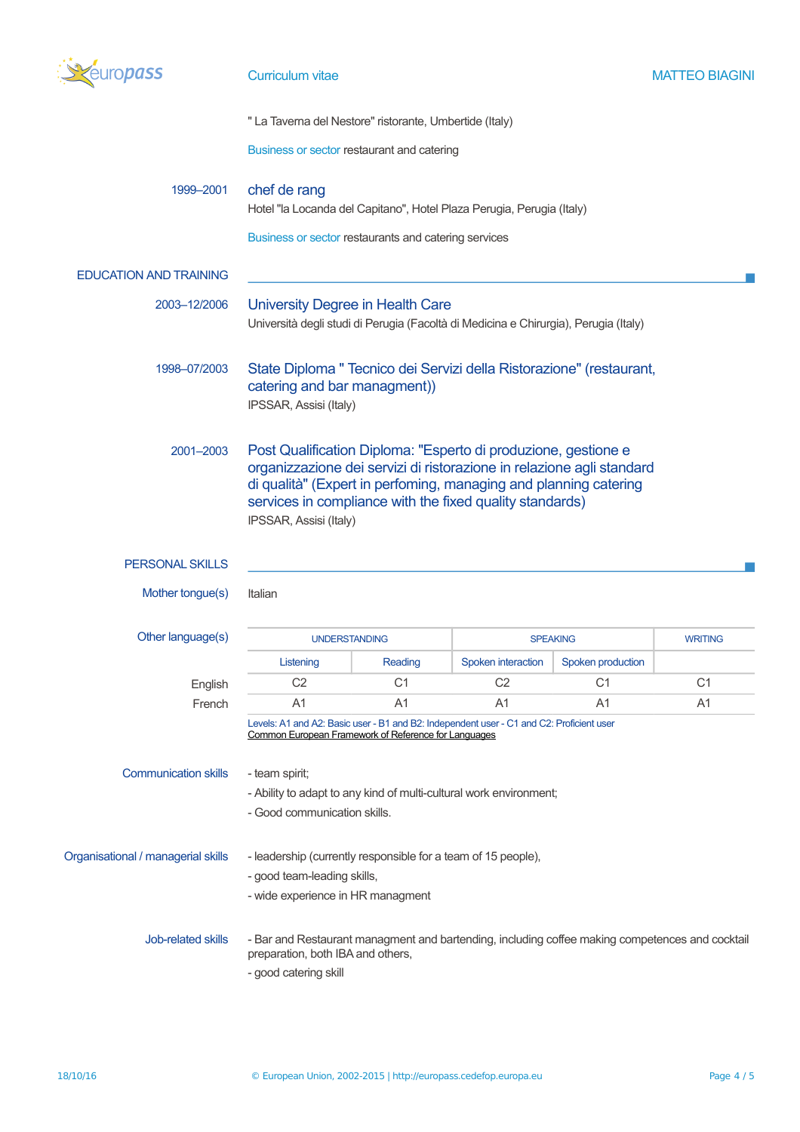

" La Taverna del Nestore" ristorante, Umbertide (Italy)

Business or sector restaurant and catering

# 1999–2001 chef de rang

Hotel "la Locanda del Capitano", Hotel Plaza Perugia, Perugia (Italy)

Business or sector restaurants and catering services

### EDUCATION AND TRAINING

- 2003–12/2006 University Degree in Health Care Università degli studi di Perugia (Facoltà di Medicina e Chirurgia), Perugia (Italy)
- 1998–07/2003 State Diploma " Tecnico dei Servizi della Ristorazione" (restaurant, catering and bar managment)) IPSSAR, Assisi (Italy)
	- 2001–2003 Post Qualification Diploma: "Esperto di produzione, gestione e organizzazione dei servizi di ristorazione in relazione agli standard di qualità" (Expert in perfoming, managing and planning catering services in compliance with the fixed quality standards) IPSSAR, Assisi (Italy)

### PERSONAL SKILLS

Mother tongue(s) Italian

Other language(s)

| uage(s) | <b>UNDERSTANDING</b> |         | <b>SPEAKING</b>    |                   | <b>WRITING</b> |
|---------|----------------------|---------|--------------------|-------------------|----------------|
|         | Listening            | Reading | Spoken interaction | Spoken production |                |
| English | C2                   |         |                    |                   |                |
| French  |                      |         |                    | A.                | A.             |

Levels: A1 and A2: Basic user - B1 and B2: Independent user - C1 and C2: Proficient user [Common European Framework of Reference for Languages](http://europass.cedefop.europa.eu/en/resources/european-language-levels-cefr)

Communication skills - team spirit;

- Ability to adapt to any kind of multi-cultural work environment;

- Good communication skills.

| Organisational / managerial skills | - leadership (currently responsible for a team of 15 people).                                                                        |  |  |
|------------------------------------|--------------------------------------------------------------------------------------------------------------------------------------|--|--|
|                                    | - good team-leading skills,                                                                                                          |  |  |
|                                    | - wide experience in HR managment                                                                                                    |  |  |
| Job-related skills                 | - Bar and Restaurant managment and bartending, including coffee making competences and cocktail<br>preparation, both IBA and others, |  |  |

- good catering skill